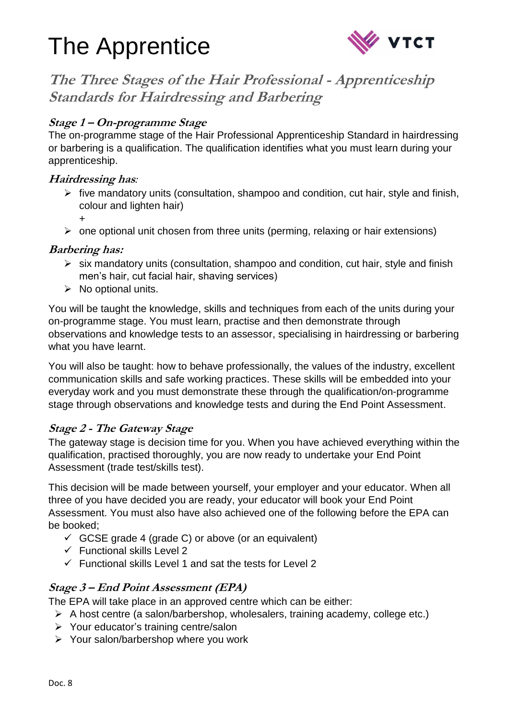



**The Three Stages of the Hair Professional - Apprenticeship Standards for Hairdressing and Barbering**

## **Stage 1 – On-programme Stage**

The on-programme stage of the Hair Professional Apprenticeship Standard in hairdressing or barbering is a qualification. The qualification identifies what you must learn during your apprenticeship.

## **Hairdressing has***:*

- $\triangleright$  five mandatory units (consultation, shampoo and condition, cut hair, style and finish, colour and lighten hair)
	- +
- $\triangleright$  one optional unit chosen from three units (perming, relaxing or hair extensions)

### **Barbering has:**

- $\triangleright$  six mandatory units (consultation, shampoo and condition, cut hair, style and finish men's hair, cut facial hair, shaving services)
- $\triangleright$  No optional units.

You will be taught the knowledge, skills and techniques from each of the units during your on-programme stage. You must learn, practise and then demonstrate through observations and knowledge tests to an assessor, specialising in hairdressing or barbering what you have learnt.

You will also be taught: how to behave professionally, the values of the industry, excellent communication skills and safe working practices. These skills will be embedded into your everyday work and you must demonstrate these through the qualification/on-programme stage through observations and knowledge tests and during the End Point Assessment.

## **Stage 2 - The Gateway Stage**

The gateway stage is decision time for you. When you have achieved everything within the qualification, practised thoroughly, you are now ready to undertake your End Point Assessment (trade test/skills test).

This decision will be made between yourself, your employer and your educator. When all three of you have decided you are ready, your educator will book your End Point Assessment. You must also have also achieved one of the following before the EPA can be booked;

- $\checkmark$  GCSE grade 4 (grade C) or above (or an equivalent)
- $\checkmark$  Functional skills Level 2
- $\checkmark$  Functional skills Level 1 and sat the tests for Level 2

### **Stage 3 – End Point Assessment (EPA)**

The EPA will take place in an approved centre which can be either:

- $\triangleright$  A host centre (a salon/barbershop, wholesalers, training academy, college etc.)
- $\triangleright$  Your educator's training centre/salon
- $\triangleright$  Your salon/barbershop where you work